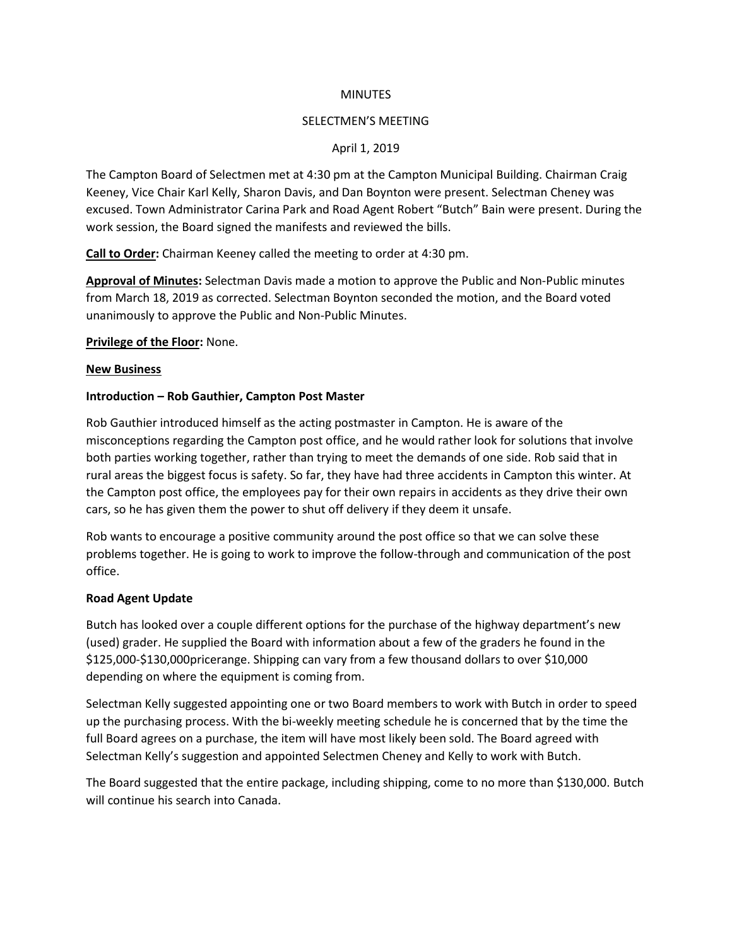### **MINUTES**

#### SELECTMEN'S MEETING

### April 1, 2019

The Campton Board of Selectmen met at 4:30 pm at the Campton Municipal Building. Chairman Craig Keeney, Vice Chair Karl Kelly, Sharon Davis, and Dan Boynton were present. Selectman Cheney was excused. Town Administrator Carina Park and Road Agent Robert "Butch" Bain were present. During the work session, the Board signed the manifests and reviewed the bills.

**Call to Order:** Chairman Keeney called the meeting to order at 4:30 pm.

**Approval of Minutes:** Selectman Davis made a motion to approve the Public and Non-Public minutes from March 18, 2019 as corrected. Selectman Boynton seconded the motion, and the Board voted unanimously to approve the Public and Non-Public Minutes.

**Privilege of the Floor:** None.

#### **New Business**

### **Introduction – Rob Gauthier, Campton Post Master**

Rob Gauthier introduced himself as the acting postmaster in Campton. He is aware of the misconceptions regarding the Campton post office, and he would rather look for solutions that involve both parties working together, rather than trying to meet the demands of one side. Rob said that in rural areas the biggest focus is safety. So far, they have had three accidents in Campton this winter. At the Campton post office, the employees pay for their own repairs in accidents as they drive their own cars, so he has given them the power to shut off delivery if they deem it unsafe.

Rob wants to encourage a positive community around the post office so that we can solve these problems together. He is going to work to improve the follow-through and communication of the post office.

### **Road Agent Update**

Butch has looked over a couple different options for the purchase of the highway department's new (used) grader. He supplied the Board with information about a few of the graders he found in the \$125,000-\$130,000pricerange. Shipping can vary from a few thousand dollars to over \$10,000 depending on where the equipment is coming from.

Selectman Kelly suggested appointing one or two Board members to work with Butch in order to speed up the purchasing process. With the bi-weekly meeting schedule he is concerned that by the time the full Board agrees on a purchase, the item will have most likely been sold. The Board agreed with Selectman Kelly's suggestion and appointed Selectmen Cheney and Kelly to work with Butch.

The Board suggested that the entire package, including shipping, come to no more than \$130,000. Butch will continue his search into Canada.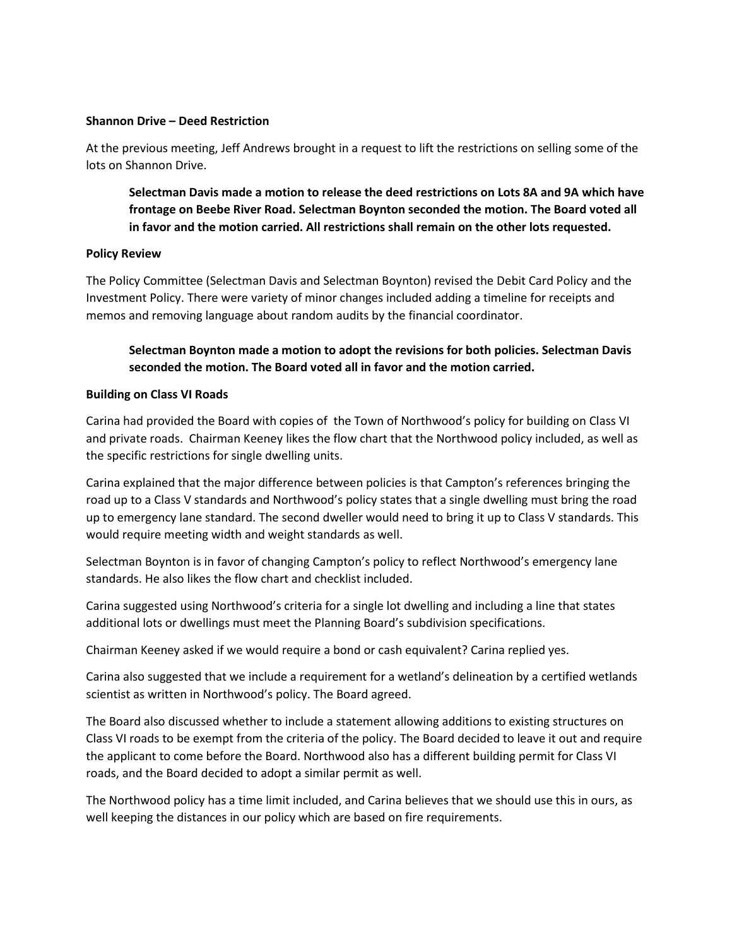### **Shannon Drive – Deed Restriction**

At the previous meeting, Jeff Andrews brought in a request to lift the restrictions on selling some of the lots on Shannon Drive.

**Selectman Davis made a motion to release the deed restrictions on Lots 8A and 9A which have frontage on Beebe River Road. Selectman Boynton seconded the motion. The Board voted all in favor and the motion carried. All restrictions shall remain on the other lots requested.**

# **Policy Review**

The Policy Committee (Selectman Davis and Selectman Boynton) revised the Debit Card Policy and the Investment Policy. There were variety of minor changes included adding a timeline for receipts and memos and removing language about random audits by the financial coordinator.

# **Selectman Boynton made a motion to adopt the revisions for both policies. Selectman Davis seconded the motion. The Board voted all in favor and the motion carried.**

# **Building on Class VI Roads**

Carina had provided the Board with copies of the Town of Northwood's policy for building on Class VI and private roads. Chairman Keeney likes the flow chart that the Northwood policy included, as well as the specific restrictions for single dwelling units.

Carina explained that the major difference between policies is that Campton's references bringing the road up to a Class V standards and Northwood's policy states that a single dwelling must bring the road up to emergency lane standard. The second dweller would need to bring it up to Class V standards. This would require meeting width and weight standards as well.

Selectman Boynton is in favor of changing Campton's policy to reflect Northwood's emergency lane standards. He also likes the flow chart and checklist included.

Carina suggested using Northwood's criteria for a single lot dwelling and including a line that states additional lots or dwellings must meet the Planning Board's subdivision specifications.

Chairman Keeney asked if we would require a bond or cash equivalent? Carina replied yes.

Carina also suggested that we include a requirement for a wetland's delineation by a certified wetlands scientist as written in Northwood's policy. The Board agreed.

The Board also discussed whether to include a statement allowing additions to existing structures on Class VI roads to be exempt from the criteria of the policy. The Board decided to leave it out and require the applicant to come before the Board. Northwood also has a different building permit for Class VI roads, and the Board decided to adopt a similar permit as well.

The Northwood policy has a time limit included, and Carina believes that we should use this in ours, as well keeping the distances in our policy which are based on fire requirements.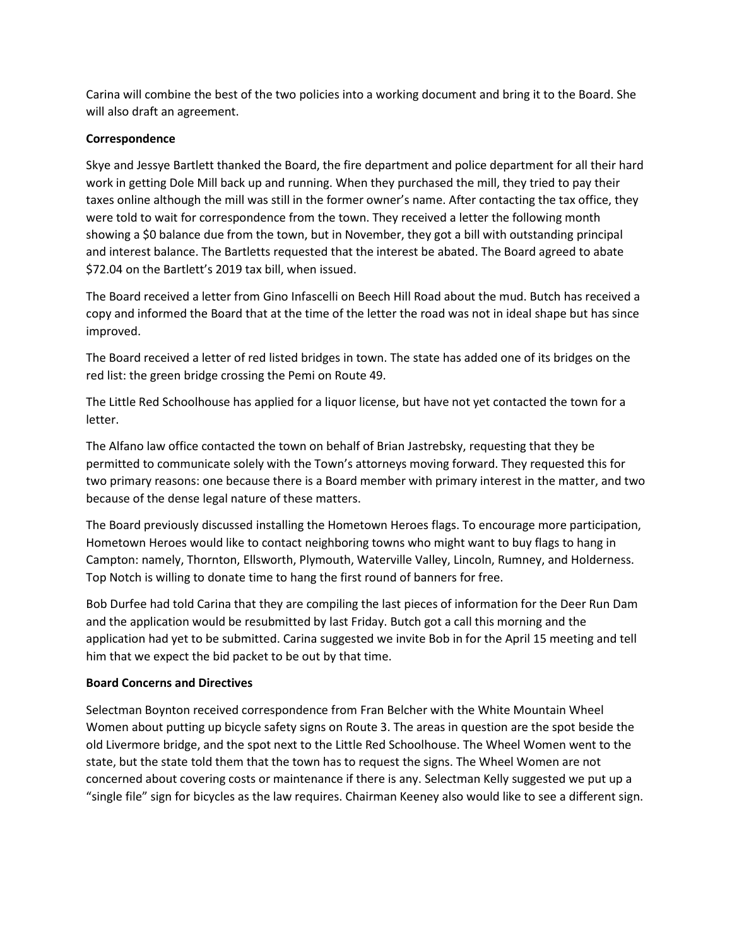Carina will combine the best of the two policies into a working document and bring it to the Board. She will also draft an agreement.

# **Correspondence**

Skye and Jessye Bartlett thanked the Board, the fire department and police department for all their hard work in getting Dole Mill back up and running. When they purchased the mill, they tried to pay their taxes online although the mill was still in the former owner's name. After contacting the tax office, they were told to wait for correspondence from the town. They received a letter the following month showing a \$0 balance due from the town, but in November, they got a bill with outstanding principal and interest balance. The Bartletts requested that the interest be abated. The Board agreed to abate \$72.04 on the Bartlett's 2019 tax bill, when issued.

The Board received a letter from Gino Infascelli on Beech Hill Road about the mud. Butch has received a copy and informed the Board that at the time of the letter the road was not in ideal shape but has since improved.

The Board received a letter of red listed bridges in town. The state has added one of its bridges on the red list: the green bridge crossing the Pemi on Route 49.

The Little Red Schoolhouse has applied for a liquor license, but have not yet contacted the town for a letter.

The Alfano law office contacted the town on behalf of Brian Jastrebsky, requesting that they be permitted to communicate solely with the Town's attorneys moving forward. They requested this for two primary reasons: one because there is a Board member with primary interest in the matter, and two because of the dense legal nature of these matters.

The Board previously discussed installing the Hometown Heroes flags. To encourage more participation, Hometown Heroes would like to contact neighboring towns who might want to buy flags to hang in Campton: namely, Thornton, Ellsworth, Plymouth, Waterville Valley, Lincoln, Rumney, and Holderness. Top Notch is willing to donate time to hang the first round of banners for free.

Bob Durfee had told Carina that they are compiling the last pieces of information for the Deer Run Dam and the application would be resubmitted by last Friday. Butch got a call this morning and the application had yet to be submitted. Carina suggested we invite Bob in for the April 15 meeting and tell him that we expect the bid packet to be out by that time.

### **Board Concerns and Directives**

Selectman Boynton received correspondence from Fran Belcher with the White Mountain Wheel Women about putting up bicycle safety signs on Route 3. The areas in question are the spot beside the old Livermore bridge, and the spot next to the Little Red Schoolhouse. The Wheel Women went to the state, but the state told them that the town has to request the signs. The Wheel Women are not concerned about covering costs or maintenance if there is any. Selectman Kelly suggested we put up a "single file" sign for bicycles as the law requires. Chairman Keeney also would like to see a different sign.